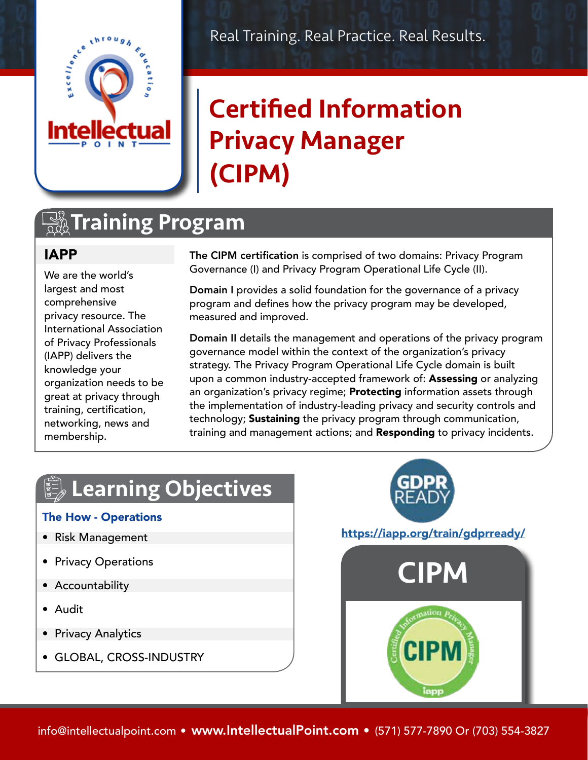

# Certified Information Privacy Manager (CIPM)

### **TA Training Program**

### IAPP

We are the world's largest and most comprehensive privacy resource. The International Association of Privacy Professionals (IAPP) delivers the knowledge your organization needs to be great at privacy through training, certification, networking, news and membership.

The CIPM certification is comprised of two domains: Privacy Program Governance (I) and Privacy Program Operational Life Cycle (II).

Domain I provides a solid foundation for the governance of a privacy program and defines how the privacy program may be developed, measured and improved.

Domain II details the management and operations of the privacy program governance model within the context of the organization's privacy strategy. The Privacy Program Operational Life Cycle domain is built upon a common industry-accepted framework of: Assessing or analyzing an organization's privacy regime; **Protecting** information assets through the implementation of industry-leading privacy and security controls and technology; **Sustaining** the privacy program through communication, training and management actions; and Responding to privacy incidents.

# Learning Objectives

#### The How - Operations

- Risk Management
- Privacy Operations
- Accountability
- Audit
- Privacy Analytics
- GLOBAL, CROSS-INDUSTRY



#### <https://iapp.org/train/gdprready/>